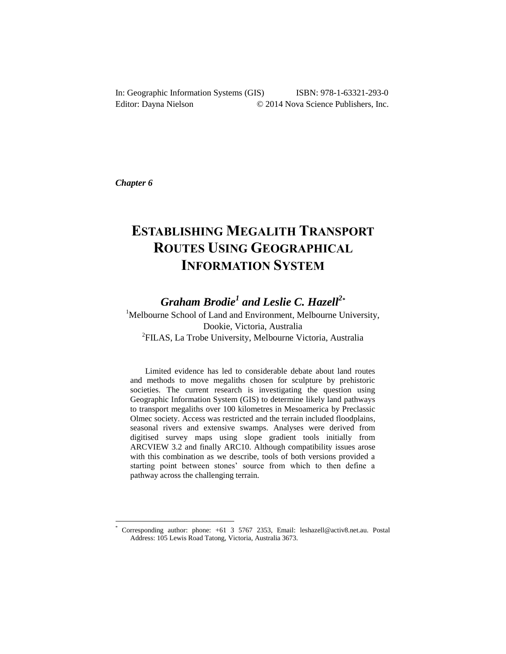In: Geographic Information Systems (GIS) ISBN: 978-1-63321-293-0 Editor: Dayna Nielson © 2014 Nova Science Publishers, Inc.

*Chapter 6* 

l

# **ESTABLISHING MEGALITH TRANSPORT ROUTES USING GEOGRAPHICAL INFORMATION SYSTEM**

## *Graham Brodie<sup>1</sup> and Leslie C. Hazell<sup>2</sup>\**

<sup>1</sup>Melbourne School of Land and Environment, Melbourne University, Dookie, Victoria, Australia 2 FILAS, La Trobe University, Melbourne Victoria, Australia

Limited evidence has led to considerable debate about land routes and methods to move megaliths chosen for sculpture by prehistoric societies. The current research is investigating the question using Geographic Information System (GIS) to determine likely land pathways to transport megaliths over 100 kilometres in Mesoamerica by Preclassic Olmec society. Access was restricted and the terrain included floodplains, seasonal rivers and extensive swamps. Analyses were derived from digitised survey maps using slope gradient tools initially from ARCVIEW 3.2 and finally ARC10. Although compatibility issues arose with this combination as we describe, tools of both versions provided a starting point between stones' source from which to then define a pathway across the challenging terrain.

<sup>\*</sup> Corresponding author: phone: +61 3 5767 2353, Email: leshazell@activ8.net.au. Postal Address: 105 Lewis Road Tatong, Victoria, Australia 3673.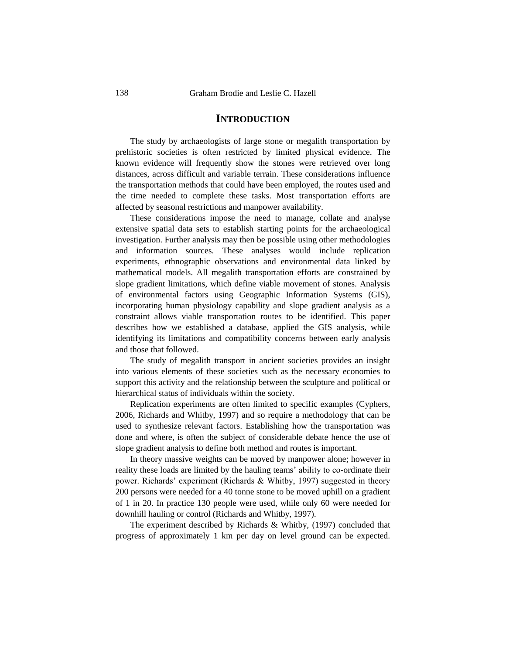#### **INTRODUCTION**

The study by archaeologists of large stone or megalith transportation by prehistoric societies is often restricted by limited physical evidence. The known evidence will frequently show the stones were retrieved over long distances, across difficult and variable terrain. These considerations influence the transportation methods that could have been employed, the routes used and the time needed to complete these tasks. Most transportation efforts are affected by seasonal restrictions and manpower availability.

These considerations impose the need to manage, collate and analyse extensive spatial data sets to establish starting points for the archaeological investigation. Further analysis may then be possible using other methodologies and information sources. These analyses would include replication experiments, ethnographic observations and environmental data linked by mathematical models. All megalith transportation efforts are constrained by slope gradient limitations, which define viable movement of stones. Analysis of environmental factors using Geographic Information Systems (GIS), incorporating human physiology capability and slope gradient analysis as a constraint allows viable transportation routes to be identified. This paper describes how we established a database, applied the GIS analysis, while identifying its limitations and compatibility concerns between early analysis and those that followed.

The study of megalith transport in ancient societies provides an insight into various elements of these societies such as the necessary economies to support this activity and the relationship between the sculpture and political or hierarchical status of individuals within the society.

Replication experiments are often limited to specific examples (Cyphers, 2006, Richards and Whitby, 1997) and so require a methodology that can be used to synthesize relevant factors. Establishing how the transportation was done and where, is often the subject of considerable debate hence the use of slope gradient analysis to define both method and routes is important.

In theory massive weights can be moved by manpower alone; however in reality these loads are limited by the hauling teams' ability to co-ordinate their power. Richards' experiment (Richards & Whitby, 1997) suggested in theory 200 persons were needed for a 40 tonne stone to be moved uphill on a gradient of 1 in 20. In practice 130 people were used, while only 60 were needed for downhill hauling or control (Richards and Whitby, 1997).

The experiment described by Richards & Whitby, (1997) concluded that progress of approximately 1 km per day on level ground can be expected.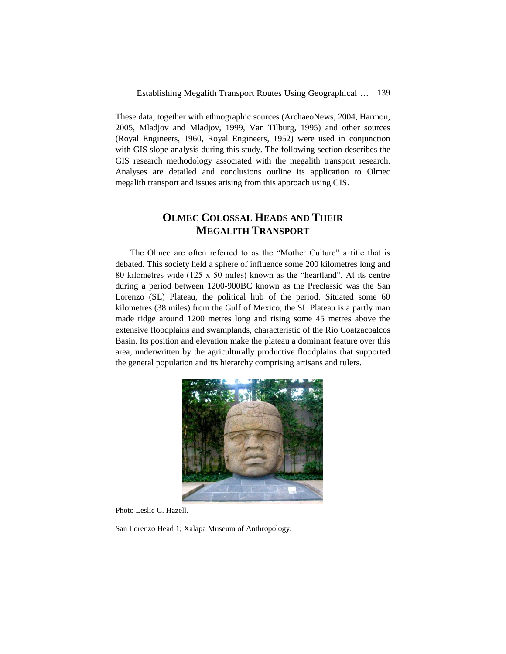These data, together with ethnographic sources (ArchaeoNews, 2004, Harmon, 2005, Mladjov and Mladjov, 1999, Van Tilburg, 1995) and other sources (Royal Engineers, 1960, Royal Engineers, 1952) were used in conjunction with GIS slope analysis during this study. The following section describes the GIS research methodology associated with the megalith transport research. Analyses are detailed and conclusions outline its application to Olmec megalith transport and issues arising from this approach using GIS.

## **OLMEC COLOSSAL HEADS AND THEIR MEGALITH TRANSPORT**

The Olmec are often referred to as the "Mother Culture" a title that is debated. This society held a sphere of influence some 200 kilometres long and 80 kilometres wide (125 x 50 miles) known as the "heartland", At its centre during a period between 1200-900BC known as the Preclassic was the San Lorenzo (SL) Plateau, the political hub of the period. Situated some 60 kilometres (38 miles) from the Gulf of Mexico, the SL Plateau is a partly man made ridge around 1200 metres long and rising some 45 metres above the extensive floodplains and swamplands, characteristic of the Rio Coatzacoalcos Basin. Its position and elevation make the plateau a dominant feature over this area, underwritten by the agriculturally productive floodplains that supported the general population and its hierarchy comprising artisans and rulers.



Photo Leslie C. Hazell.

San Lorenzo Head 1; Xalapa Museum of Anthropology.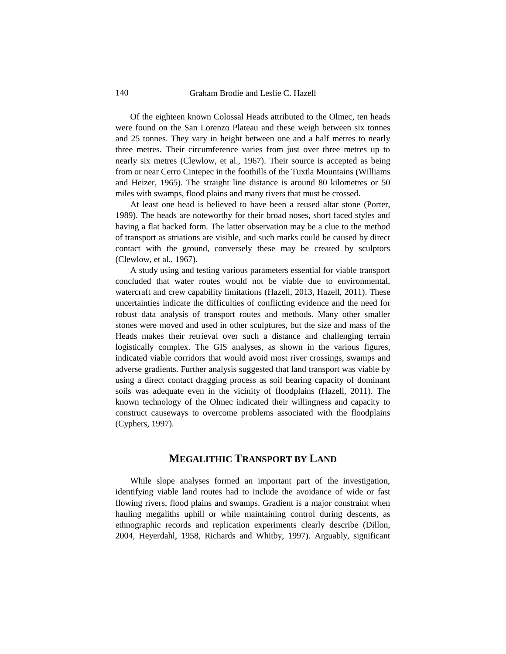Of the eighteen known Colossal Heads attributed to the Olmec, ten heads were found on the San Lorenzo Plateau and these weigh between six tonnes and 25 tonnes. They vary in height between one and a half metres to nearly three metres. Their circumference varies from just over three metres up to nearly six metres (Clewlow, et al., 1967). Their source is accepted as being from or near Cerro Cintepec in the foothills of the Tuxtla Mountains (Williams and Heizer, 1965). The straight line distance is around 80 kilometres or 50 miles with swamps, flood plains and many rivers that must be crossed.

At least one head is believed to have been a reused altar stone (Porter, 1989). The heads are noteworthy for their broad noses, short faced styles and having a flat backed form. The latter observation may be a clue to the method of transport as striations are visible, and such marks could be caused by direct contact with the ground, conversely these may be created by sculptors (Clewlow, et al., 1967).

A study using and testing various parameters essential for viable transport concluded that water routes would not be viable due to environmental, watercraft and crew capability limitations (Hazell, 2013, Hazell, 2011). These uncertainties indicate the difficulties of conflicting evidence and the need for robust data analysis of transport routes and methods. Many other smaller stones were moved and used in other sculptures, but the size and mass of the Heads makes their retrieval over such a distance and challenging terrain logistically complex. The GIS analyses, as shown in the various figures, indicated viable corridors that would avoid most river crossings, swamps and adverse gradients. Further analysis suggested that land transport was viable by using a direct contact dragging process as soil bearing capacity of dominant soils was adequate even in the vicinity of floodplains (Hazell, 2011). The known technology of the Olmec indicated their willingness and capacity to construct causeways to overcome problems associated with the floodplains (Cyphers, 1997).

## **MEGALITHIC TRANSPORT BY LAND**

While slope analyses formed an important part of the investigation, identifying viable land routes had to include the avoidance of wide or fast flowing rivers, flood plains and swamps. Gradient is a major constraint when hauling megaliths uphill or while maintaining control during descents, as ethnographic records and replication experiments clearly describe (Dillon, 2004, Heyerdahl, 1958, Richards and Whitby, 1997). Arguably, significant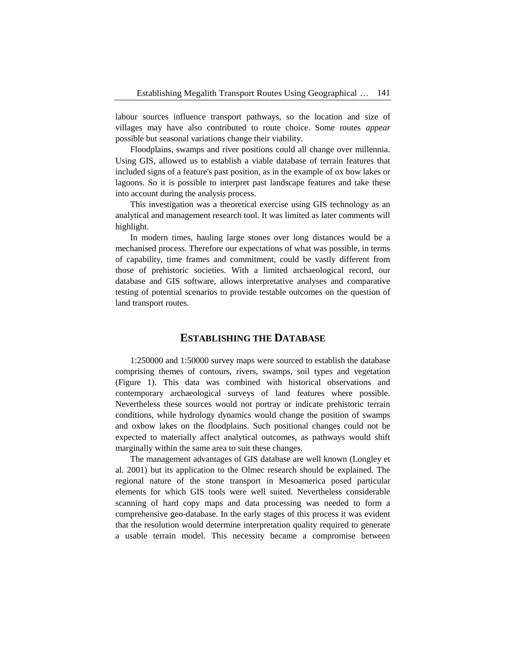labour sources influence transport pathways, so the location and size of villages may have also contributed to route choice. Some routes *appear* possible but seasonal variations change their viability.

Floodplains, swamps and river positions could all change over millennia. Using GIS, allowed us to establish a viable database of terrain features that included signs of a feature's past position, as in the example of ox bow lakes or lagoons. So it is possible to interpret past landscape features and take these into account during the analysis process.

This investigation was a theoretical exercise using GIS technology as an analytical and management research tool. It was limited as later comments will highlight.

In modern times, hauling large stones over long distances would be a mechanised process. Therefore our expectations of what was possible, in terms of capability, time frames and commitment, could be vastly different from those of prehistoric societies. With a limited archaeological record, our database and GIS software, allows interpretative analyses and comparative testing of potential scenarios to provide testable outcomes on the question of land transport routes.

#### **ESTABLISHING THE DATABASE**

1:250000 and 1:50000 survey maps were sourced to establish the database comprising themes of contours, rivers, swamps, soil types and vegetation (Figure 1). This data was combined with historical observations and contemporary archaeological surveys of land features where possible. Nevertheless these sources would not portray or indicate prehistoric terrain conditions, while hydrology dynamics would change the position of swamps and oxbow lakes on the floodplains. Such positional changes could not be expected to materially affect analytical outcomes, as pathways would shift marginally within the same area to suit these changes.

The management advantages of GIS database are well known (Longley et al. 2001) but its application to the Olmec research should be explained. The regional nature of the stone transport in Mesoamerica posed particular elements for which GIS tools were well suited. Nevertheless considerable scanning of hard copy maps and data processing was needed to form a comprehensive geo-database. In the early stages of this process it was evident that the resolution would determine interpretation quality required to generate a usable terrain model. This necessity became a compromise between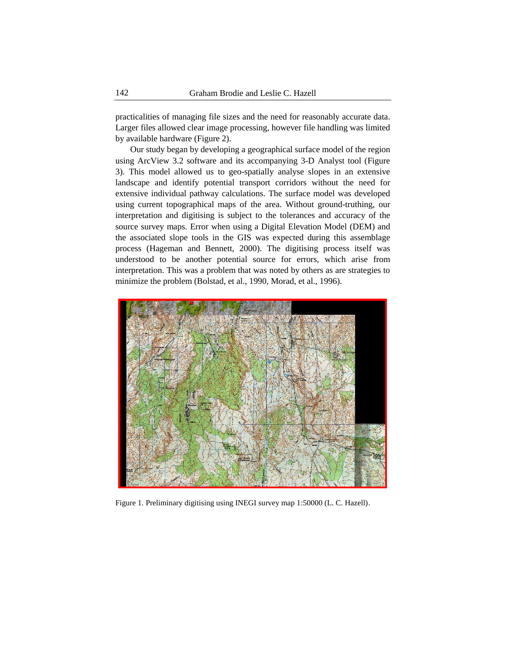practicalities of managing file sizes and the need for reasonably accurate data. Larger files allowed clear image processing, however file handling was limited by available hardware (Figure 2).

Our study began by developing a geographical surface model of the region using ArcView 3.2 software and its accompanying 3-D Analyst tool (Figure 3). This model allowed us to geo-spatially analyse slopes in an extensive landscape and identify potential transport corridors without the need for extensive individual pathway calculations. The surface model was developed using current topographical maps of the area. Without ground-truthing, our interpretation and digitising is subject to the tolerances and accuracy of the source survey maps. Error when using a Digital Elevation Model (DEM) and the associated slope tools in the GIS was expected during this assemblage process (Hageman and Bennett, 2000). The digitising process itself was understood to be another potential source for errors, which arise from interpretation. This was a problem that was noted by others as are strategies to minimize the problem (Bolstad, et al., 1990, Morad, et al., 1996).



Figure 1. Preliminary digitising using INEGI survey map 1:50000 (L. C. Hazell).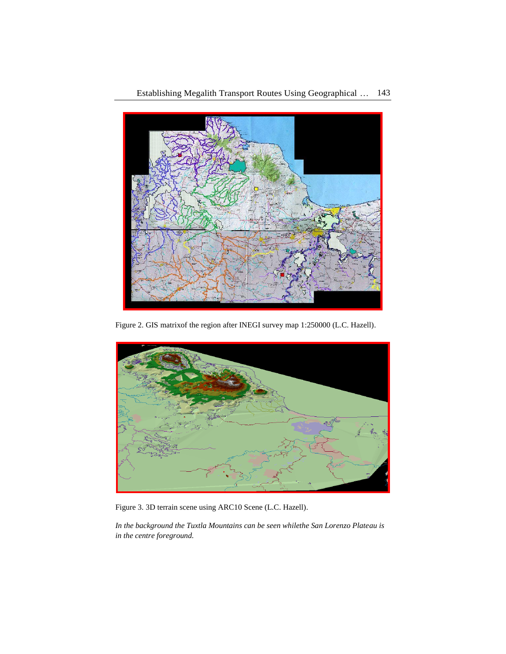



Figure 2. GIS matrixof the region after INEGI survey map 1:250000 (L.C. Hazell).



Figure 3. 3D terrain scene using ARC10 Scene (L.C. Hazell).

*In the background the Tuxtla Mountains can be seen whilethe San Lorenzo Plateau is in the centre foreground.*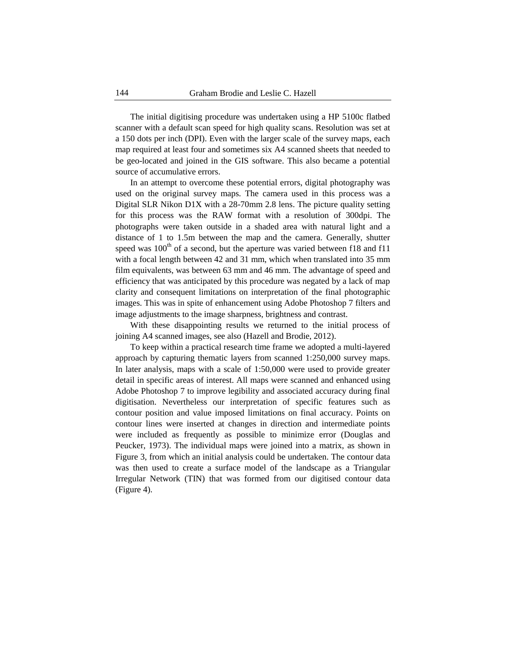The initial digitising procedure was undertaken using a HP 5100c flatbed scanner with a default scan speed for high quality scans. Resolution was set at a 150 dots per inch (DPI). Even with the larger scale of the survey maps, each map required at least four and sometimes six A4 scanned sheets that needed to be geo-located and joined in the GIS software. This also became a potential source of accumulative errors.

In an attempt to overcome these potential errors, digital photography was used on the original survey maps. The camera used in this process was a Digital SLR Nikon D1X with a 28-70mm 2.8 lens. The picture quality setting for this process was the RAW format with a resolution of 300dpi. The photographs were taken outside in a shaded area with natural light and a distance of 1 to 1.5m between the map and the camera. Generally, shutter speed was  $100<sup>th</sup>$  of a second, but the aperture was varied between f18 and f11 with a focal length between 42 and 31 mm, which when translated into 35 mm film equivalents, was between 63 mm and 46 mm. The advantage of speed and efficiency that was anticipated by this procedure was negated by a lack of map clarity and consequent limitations on interpretation of the final photographic images. This was in spite of enhancement using Adobe Photoshop 7 filters and image adjustments to the image sharpness, brightness and contrast.

With these disappointing results we returned to the initial process of joining A4 scanned images, see also (Hazell and Brodie, 2012).

To keep within a practical research time frame we adopted a multi-layered approach by capturing thematic layers from scanned 1:250,000 survey maps. In later analysis, maps with a scale of 1:50,000 were used to provide greater detail in specific areas of interest. All maps were scanned and enhanced using Adobe Photoshop 7 to improve legibility and associated accuracy during final digitisation. Nevertheless our interpretation of specific features such as contour position and value imposed limitations on final accuracy. Points on contour lines were inserted at changes in direction and intermediate points were included as frequently as possible to minimize error (Douglas and Peucker, 1973). The individual maps were joined into a matrix, as shown in Figure 3, from which an initial analysis could be undertaken. The contour data was then used to create a surface model of the landscape as a Triangular Irregular Network (TIN) that was formed from our digitised contour data (Figure 4).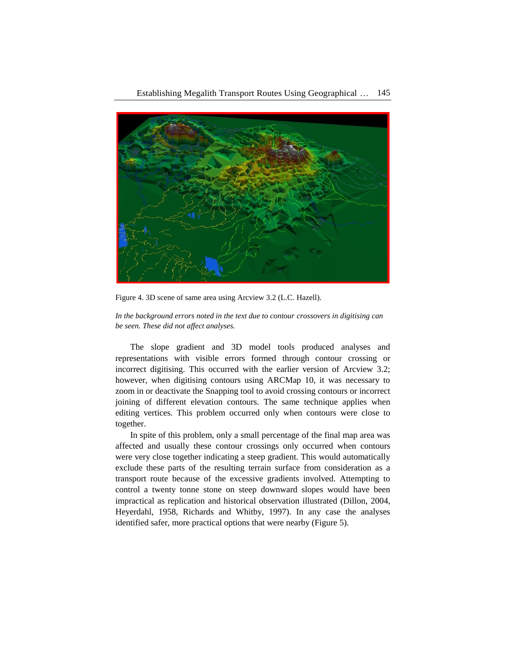

Figure 4. 3D scene of same area using Arcview 3.2 (L.C. Hazell).

*In the background errors noted in the text due to contour crossovers in digitising can be seen. These did not affect analyses.*

The slope gradient and 3D model tools produced analyses and representations with visible errors formed through contour crossing or incorrect digitising. This occurred with the earlier version of Arcview 3.2; however, when digitising contours using ARCMap 10, it was necessary to zoom in or deactivate the Snapping tool to avoid crossing contours or incorrect joining of different elevation contours. The same technique applies when editing vertices. This problem occurred only when contours were close to together.

In spite of this problem, only a small percentage of the final map area was affected and usually these contour crossings only occurred when contours were very close together indicating a steep gradient. This would automatically exclude these parts of the resulting terrain surface from consideration as a transport route because of the excessive gradients involved. Attempting to control a twenty tonne stone on steep downward slopes would have been impractical as replication and historical observation illustrated (Dillon, 2004, Heyerdahl, 1958, Richards and Whitby, 1997). In any case the analyses identified safer, more practical options that were nearby (Figure 5).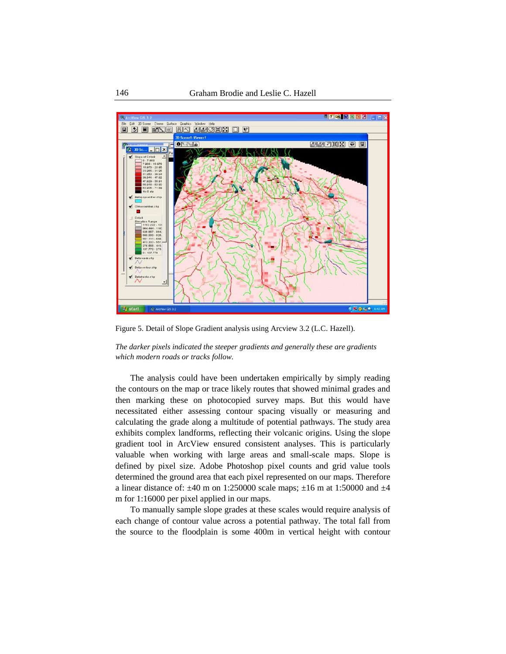

Figure 5. Detail of Slope Gradient analysis using Arcview 3.2 (L.C. Hazell).

*The darker pixels indicated the steeper gradients and generally these are gradients which modern roads or tracks follow.* 

The analysis could have been undertaken empirically by simply reading the contours on the map or trace likely routes that showed minimal grades and then marking these on photocopied survey maps. But this would have necessitated either assessing contour spacing visually or measuring and calculating the grade along a multitude of potential pathways. The study area exhibits complex landforms, reflecting their volcanic origins. Using the slope gradient tool in ArcView ensured consistent analyses. This is particularly valuable when working with large areas and small-scale maps. Slope is defined by pixel size. Adobe Photoshop pixel counts and grid value tools determined the ground area that each pixel represented on our maps. Therefore a linear distance of:  $\pm 40$  m on 1:250000 scale maps;  $\pm 16$  m at 1:50000 and  $\pm 4$ m for 1:16000 per pixel applied in our maps.

To manually sample slope grades at these scales would require analysis of each change of contour value across a potential pathway. The total fall from the source to the floodplain is some 400m in vertical height with contour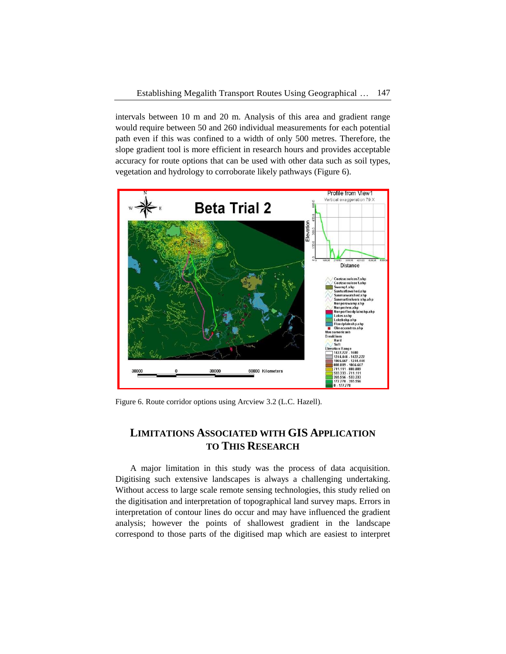intervals between 10 m and 20 m. Analysis of this area and gradient range would require between 50 and 260 individual measurements for each potential path even if this was confined to a width of only 500 metres. Therefore, the slope gradient tool is more efficient in research hours and provides acceptable accuracy for route options that can be used with other data such as soil types, vegetation and hydrology to corroborate likely pathways (Figure 6).



Figure 6. Route corridor options using Arcview 3.2 (L.C. Hazell).

## **LIMITATIONS ASSOCIATED WITH GIS APPLICATION TO THIS RESEARCH**

A major limitation in this study was the process of data acquisition. Digitising such extensive landscapes is always a challenging undertaking. Without access to large scale remote sensing technologies, this study relied on the digitisation and interpretation of topographical land survey maps. Errors in interpretation of contour lines do occur and may have influenced the gradient analysis; however the points of shallowest gradient in the landscape correspond to those parts of the digitised map which are easiest to interpret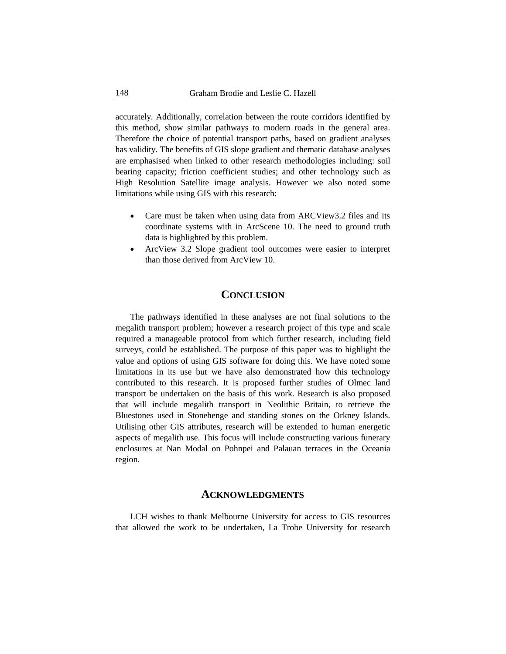accurately. Additionally, correlation between the route corridors identified by this method, show similar pathways to modern roads in the general area. Therefore the choice of potential transport paths, based on gradient analyses has validity. The benefits of GIS slope gradient and thematic database analyses are emphasised when linked to other research methodologies including: soil bearing capacity; friction coefficient studies; and other technology such as High Resolution Satellite image analysis. However we also noted some limitations while using GIS with this research:

- Care must be taken when using data from ARCView3.2 files and its coordinate systems with in ArcScene 10. The need to ground truth data is highlighted by this problem.
- ArcView 3.2 Slope gradient tool outcomes were easier to interpret than those derived from ArcView 10.

## **CONCLUSION**

The pathways identified in these analyses are not final solutions to the megalith transport problem; however a research project of this type and scale required a manageable protocol from which further research, including field surveys, could be established. The purpose of this paper was to highlight the value and options of using GIS software for doing this. We have noted some limitations in its use but we have also demonstrated how this technology contributed to this research. It is proposed further studies of Olmec land transport be undertaken on the basis of this work. Research is also proposed that will include megalith transport in Neolithic Britain, to retrieve the Bluestones used in Stonehenge and standing stones on the Orkney Islands. Utilising other GIS attributes, research will be extended to human energetic aspects of megalith use. This focus will include constructing various funerary enclosures at Nan Modal on Pohnpei and Palauan terraces in the Oceania region.

#### **ACKNOWLEDGMENTS**

LCH wishes to thank Melbourne University for access to GIS resources that allowed the work to be undertaken, La Trobe University for research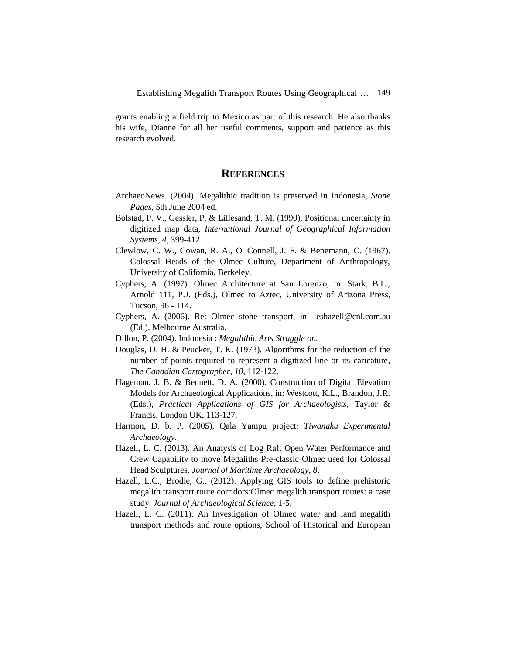grants enabling a field trip to Mexico as part of this research. He also thanks his wife, Dianne for all her useful comments, support and patience as this research evolved.

#### **REFERENCES**

- ArchaeoNews. (2004). Megalithic tradition is preserved in Indonesia, *Stone Pages*, 5th June 2004 ed.
- Bolstad, P. V., Gessler, P. & Lillesand, T. M. (1990). Positional uncertainty in digitized map data, *International Journal of Geographical Information Systems*, *4*, 399-412.
- Clewlow, C. W., Cowan, R. A., O' Connell, J. F. & Benemann, C. (1967). Colossal Heads of the Olmec Culture, Department of Anthropology, University of California, Berkeley.
- Cyphers, A. (1997). Olmec Architecture at San Lorenzo, in: Stark, B.L., Arnold 111, P.J. (Eds.), Olmec to Aztec, University of Arizona Press, Tucson, 96 - 114.
- Cyphers, A. (2006). Re: Olmec stone transport, in: leshazell@cnl.com.au (Ed.), Melbourne Australia.
- Dillon, P. (2004). Indonesia : *Megalithic Arts Struggle on*.
- Douglas, D. H. & Peucker, T. K. (1973). Algorithms for the reduction of the number of points required to represent a digitized line or its caricature, *The Canadian Cartographer*, *10*, 112-122.
- Hageman, J. B. & Bennett, D. A. (2000). Construction of Digital Elevation Models for Archaeological Applications, in: Westcott, K.L., Brandon, J.R. (Eds.), *Practical Applications of GIS for Archaeologists*, Taylor & Francis, London UK, 113-127.
- Harmon, D. b. P. (2005). Qala Yampu project: *Tiwanaku Experimental Archaeology*.
- Hazell, L. C. (2013). An Analysis of Log Raft Open Water Performance and Crew Capability to move Megaliths Pre-classic Olmec used for Colossal Head Sculptures, *Journal of Maritime Archaeology*, *8*.
- Hazell, L.C., Brodie, G., (2012). Applying GIS tools to define prehistoric megalith transport route corridors:Olmec megalith transport routes: a case study, *Journal of Archaeological Science*, 1-5.
- Hazell, L. C. (2011). An Investigation of Olmec water and land megalith transport methods and route options, School of Historical and European